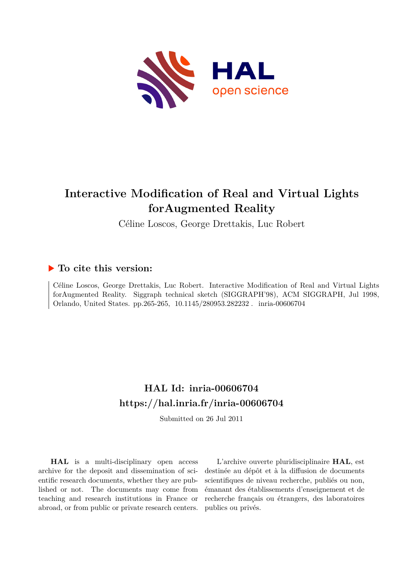

# **Interactive Modification of Real and Virtual Lights forAugmented Reality**

Céline Loscos, George Drettakis, Luc Robert

### **To cite this version:**

Céline Loscos, George Drettakis, Luc Robert. Interactive Modification of Real and Virtual Lights forAugmented Reality. Siggraph technical sketch (SIGGRAPH'98), ACM SIGGRAPH, Jul 1998, Orlando, United States. pp.265-265, 10.1145/280953.282232. inria-00606704

## **HAL Id: inria-00606704 <https://hal.inria.fr/inria-00606704>**

Submitted on 26 Jul 2011

**HAL** is a multi-disciplinary open access archive for the deposit and dissemination of scientific research documents, whether they are published or not. The documents may come from teaching and research institutions in France or abroad, or from public or private research centers.

L'archive ouverte pluridisciplinaire **HAL**, est destinée au dépôt et à la diffusion de documents scientifiques de niveau recherche, publiés ou non, émanant des établissements d'enseignement et de recherche français ou étrangers, des laboratoires publics ou privés.